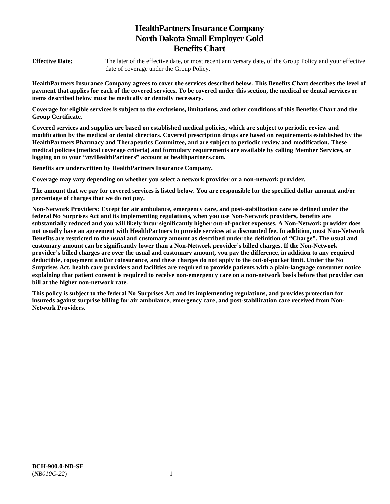# **HealthPartners Insurance Company North Dakota Small Employer Gold Benefits Chart**

**Effective Date:** The later of the effective date, or most recent anniversary date, of the Group Policy and your effective date of coverage under the Group Policy.

**HealthPartners Insurance Company agrees to cover the services described below. This Benefits Chart describes the level of payment that applies for each of the covered services. To be covered under this section, the medical or dental services or items described below must be medically or dentally necessary.** 

**Coverage for eligible services is subject to the exclusions, limitations, and other conditions of this Benefits Chart and the Group Certificate.** 

**Covered services and supplies are based on established medical policies, which are subject to periodic review and modification by the medical or dental directors. Covered prescription drugs are based on requirements established by the HealthPartners Pharmacy and Therapeutics Committee, and are subject to periodic review and modification. These medical policies (medical coverage criteria) and formulary requirements are available by calling Member Services, or logging on to your "***my***HealthPartners" account at [healthpartners.com.](http://healthpartners.com/)** 

**Benefits are underwritten by HealthPartners Insurance Company.** 

**Coverage may vary depending on whether you select a network provider or a non-network provider.** 

**The amount that we pay for covered services is listed below. You are responsible for the specified dollar amount and/or percentage of charges that we do not pay.** 

**Non-Network Providers: Except for air ambulance, emergency care, and post-stabilization care as defined under the federal No Surprises Act and its implementing regulations, when you use Non-Network providers, benefits are substantially reduced and you will likely incur significantly higher out-of-pocket expenses. A Non-Network provider does not usually have an agreement with HealthPartners to provide services at a discounted fee. In addition, most Non-Network Benefits are restricted to the usual and customary amount as described under the definition of "Charge". The usual and customary amount can be significantly lower than a Non-Network provider's billed charges. If the Non-Network provider's billed charges are over the usual and customary amount, you pay the difference, in addition to any required deductible, copayment and/or coinsurance, and these charges do not apply to the out-of-pocket limit. Under the No Surprises Act, health care providers and facilities are required to provide patients with a plain-language consumer notice explaining that patient consent is required to receive non-emergency care on a non-network basis before that provider can bill at the higher non-network rate.** 

**This policy is subject to the federal No Surprises Act and its implementing regulations, and provides protection for insureds against surprise billing for air ambulance, emergency care, and post-stabilization care received from Non-Network Providers.**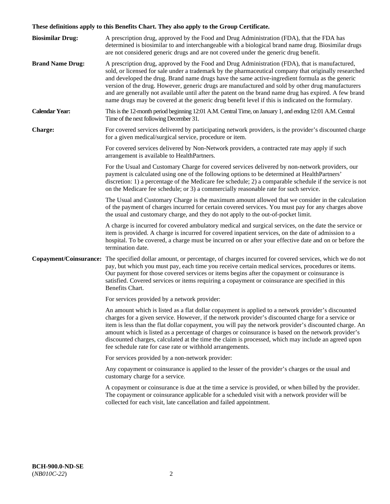# **These definitions apply to this Benefits Chart. They also apply to the Group Certificate.**

| <b>Biosimilar Drug:</b> | A prescription drug, approved by the Food and Drug Administration (FDA), that the FDA has<br>determined is biosimilar to and interchangeable with a biological brand name drug. Biosimilar drugs<br>are not considered generic drugs and are not covered under the generic drug benefit.                                                                                                                                                                                                                                                                                                                                        |
|-------------------------|---------------------------------------------------------------------------------------------------------------------------------------------------------------------------------------------------------------------------------------------------------------------------------------------------------------------------------------------------------------------------------------------------------------------------------------------------------------------------------------------------------------------------------------------------------------------------------------------------------------------------------|
| <b>Brand Name Drug:</b> | A prescription drug, approved by the Food and Drug Administration (FDA), that is manufactured,<br>sold, or licensed for sale under a trademark by the pharmaceutical company that originally researched<br>and developed the drug. Brand name drugs have the same active-ingredient formula as the generic<br>version of the drug. However, generic drugs are manufactured and sold by other drug manufacturers<br>and are generally not available until after the patent on the brand name drug has expired. A few brand<br>name drugs may be covered at the generic drug benefit level if this is indicated on the formulary. |
| <b>Calendar Year:</b>   | This is the 12-month period beginning 12:01 A.M. Central Time, on January 1, and ending 12:01 A.M. Central<br>Time of the next following December 31.                                                                                                                                                                                                                                                                                                                                                                                                                                                                           |
| <b>Charge:</b>          | For covered services delivered by participating network providers, is the provider's discounted charge<br>for a given medical/surgical service, procedure or item.                                                                                                                                                                                                                                                                                                                                                                                                                                                              |
|                         | For covered services delivered by Non-Network providers, a contracted rate may apply if such<br>arrangement is available to HealthPartners.                                                                                                                                                                                                                                                                                                                                                                                                                                                                                     |
|                         | For the Usual and Customary Charge for covered services delivered by non-network providers, our<br>payment is calculated using one of the following options to be determined at HealthPartners'<br>discretion: 1) a percentage of the Medicare fee schedule; 2) a comparable schedule if the service is not<br>on the Medicare fee schedule; or 3) a commercially reasonable rate for such service.                                                                                                                                                                                                                             |
|                         | The Usual and Customary Charge is the maximum amount allowed that we consider in the calculation<br>of the payment of charges incurred for certain covered services. You must pay for any charges above<br>the usual and customary charge, and they do not apply to the out-of-pocket limit.                                                                                                                                                                                                                                                                                                                                    |
|                         | A charge is incurred for covered ambulatory medical and surgical services, on the date the service or<br>item is provided. A charge is incurred for covered inpatient services, on the date of admission to a<br>hospital. To be covered, a charge must be incurred on or after your effective date and on or before the<br>termination date.                                                                                                                                                                                                                                                                                   |
|                         | Copayment/Coinsurance: The specified dollar amount, or percentage, of charges incurred for covered services, which we do not<br>pay, but which you must pay, each time you receive certain medical services, procedures or items.<br>Our payment for those covered services or items begins after the copayment or coinsurance is<br>satisfied. Covered services or items requiring a copayment or coinsurance are specified in this<br>Benefits Chart.                                                                                                                                                                         |
|                         | For services provided by a network provider:                                                                                                                                                                                                                                                                                                                                                                                                                                                                                                                                                                                    |
|                         | An amount which is listed as a flat dollar copayment is applied to a network provider's discounted<br>charges for a given service. However, if the network provider's discounted charge for a service or<br>item is less than the flat dollar copayment, you will pay the network provider's discounted charge. An<br>amount which is listed as a percentage of charges or coinsurance is based on the network provider's<br>discounted charges, calculated at the time the claim is processed, which may include an agreed upon<br>fee schedule rate for case rate or withhold arrangements.                                   |
|                         | For services provided by a non-network provider:                                                                                                                                                                                                                                                                                                                                                                                                                                                                                                                                                                                |
|                         | Any copayment or coinsurance is applied to the lesser of the provider's charges or the usual and<br>customary charge for a service.                                                                                                                                                                                                                                                                                                                                                                                                                                                                                             |
|                         | A copayment or coinsurance is due at the time a service is provided, or when billed by the provider.<br>The copayment or coinsurance applicable for a scheduled visit with a network provider will be<br>collected for each visit, late cancellation and failed appointment.                                                                                                                                                                                                                                                                                                                                                    |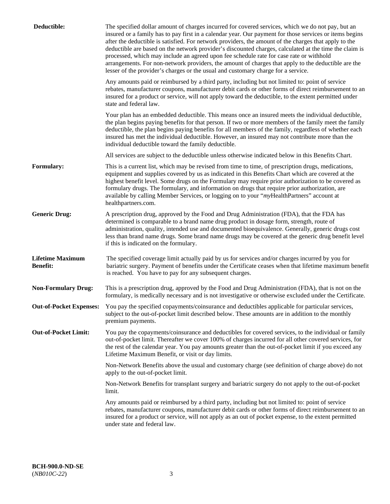| Deductible:                                | The specified dollar amount of charges incurred for covered services, which we do not pay, but an<br>insured or a family has to pay first in a calendar year. Our payment for those services or items begins<br>after the deductible is satisfied. For network providers, the amount of the charges that apply to the<br>deductible are based on the network provider's discounted charges, calculated at the time the claim is<br>processed, which may include an agreed upon fee schedule rate for case rate or withhold<br>arrangements. For non-network providers, the amount of charges that apply to the deductible are the<br>lesser of the provider's charges or the usual and customary charge for a service. |
|--------------------------------------------|------------------------------------------------------------------------------------------------------------------------------------------------------------------------------------------------------------------------------------------------------------------------------------------------------------------------------------------------------------------------------------------------------------------------------------------------------------------------------------------------------------------------------------------------------------------------------------------------------------------------------------------------------------------------------------------------------------------------|
|                                            | Any amounts paid or reimbursed by a third party, including but not limited to: point of service<br>rebates, manufacturer coupons, manufacturer debit cards or other forms of direct reimbursement to an<br>insured for a product or service, will not apply toward the deductible, to the extent permitted under<br>state and federal law.                                                                                                                                                                                                                                                                                                                                                                             |
|                                            | Your plan has an embedded deductible. This means once an insured meets the individual deductible,<br>the plan begins paying benefits for that person. If two or more members of the family meet the family<br>deductible, the plan begins paying benefits for all members of the family, regardless of whether each<br>insured has met the individual deductible. However, an insured may not contribute more than the<br>individual deductible toward the family deductible.                                                                                                                                                                                                                                          |
|                                            | All services are subject to the deductible unless otherwise indicated below in this Benefits Chart.                                                                                                                                                                                                                                                                                                                                                                                                                                                                                                                                                                                                                    |
| <b>Formulary:</b>                          | This is a current list, which may be revised from time to time, of prescription drugs, medications,<br>equipment and supplies covered by us as indicated in this Benefits Chart which are covered at the<br>highest benefit level. Some drugs on the Formulary may require prior authorization to be covered as<br>formulary drugs. The formulary, and information on drugs that require prior authorization, are<br>available by calling Member Services, or logging on to your "myHealthPartners" account at<br>healthpartners.com.                                                                                                                                                                                  |
| <b>Generic Drug:</b>                       | A prescription drug, approved by the Food and Drug Administration (FDA), that the FDA has<br>determined is comparable to a brand name drug product in dosage form, strength, route of<br>administration, quality, intended use and documented bioequivalence. Generally, generic drugs cost<br>less than brand name drugs. Some brand name drugs may be covered at the generic drug benefit level<br>if this is indicated on the formulary.                                                                                                                                                                                                                                                                            |
| <b>Lifetime Maximum</b><br><b>Benefit:</b> | The specified coverage limit actually paid by us for services and/or charges incurred by you for<br>bariatric surgery. Payment of benefits under the Certificate ceases when that lifetime maximum benefit<br>is reached. You have to pay for any subsequent charges.                                                                                                                                                                                                                                                                                                                                                                                                                                                  |
| <b>Non-Formulary Drug:</b>                 | This is a prescription drug, approved by the Food and Drug Administration (FDA), that is not on the<br>formulary, is medically necessary and is not investigative or otherwise excluded under the Certificate.                                                                                                                                                                                                                                                                                                                                                                                                                                                                                                         |
|                                            | Out-of-Pocket Expenses: You pay the specified copayments/coinsurance and deductibles applicable for particular services,<br>subject to the out-of-pocket limit described below. These amounts are in addition to the monthly<br>premium payments.                                                                                                                                                                                                                                                                                                                                                                                                                                                                      |
| <b>Out-of-Pocket Limit:</b>                | You pay the copayments/coinsurance and deductibles for covered services, to the individual or family<br>out-of-pocket limit. Thereafter we cover 100% of charges incurred for all other covered services, for<br>the rest of the calendar year. You pay amounts greater than the out-of-pocket limit if you exceed any<br>Lifetime Maximum Benefit, or visit or day limits.                                                                                                                                                                                                                                                                                                                                            |
|                                            | Non-Network Benefits above the usual and customary charge (see definition of charge above) do not<br>apply to the out-of-pocket limit.                                                                                                                                                                                                                                                                                                                                                                                                                                                                                                                                                                                 |
|                                            | Non-Network Benefits for transplant surgery and bariatric surgery do not apply to the out-of-pocket<br>limit.                                                                                                                                                                                                                                                                                                                                                                                                                                                                                                                                                                                                          |
|                                            | Any amounts paid or reimbursed by a third party, including but not limited to: point of service<br>rebates, manufacturer coupons, manufacturer debit cards or other forms of direct reimbursement to an<br>insured for a product or service, will not apply as an out of pocket expense, to the extent permitted<br>under state and federal law.                                                                                                                                                                                                                                                                                                                                                                       |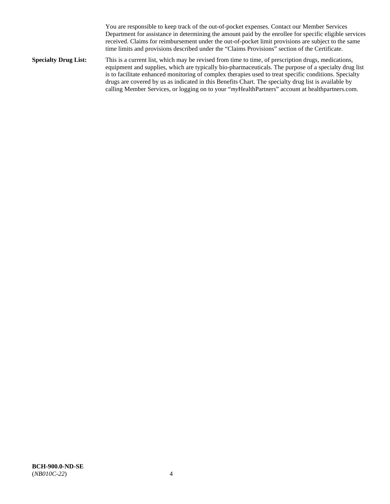You are responsible to keep track of the out-of-pocket expenses. Contact our Member Services Department for assistance in determining the amount paid by the enrollee for specific eligible services received. Claims for reimbursement under the out-of-pocket limit provisions are subject to the same time limits and provisions described under the "Claims Provisions" section of the Certificate.

**Specialty Drug List:** This is a current list, which may be revised from time to time, of prescription drugs, medications, equipment and supplies, which are typically bio-pharmaceuticals. The purpose of a specialty drug list is to facilitate enhanced monitoring of complex therapies used to treat specific conditions. Specialty drugs are covered by us as indicated in this Benefits Chart. The specialty drug list is available by calling Member Services, or logging on to your "*my*HealthPartners" account at [healthpartners.com.](http://www.healthpartners.com/)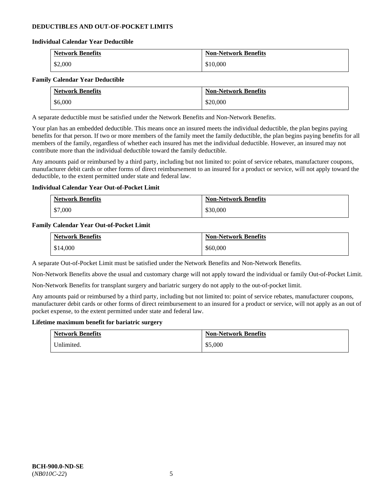# **DEDUCTIBLES AND OUT-OF-POCKET LIMITS**

### **Individual Calendar Year Deductible**

| <b>Network Benefits</b> | <b>Non-Network Benefits</b> |
|-------------------------|-----------------------------|
| \$2,000                 | \$10,000                    |

### **Family Calendar Year Deductible**

| <b>Network Benefits</b> | <b>Non-Network Benefits</b> |
|-------------------------|-----------------------------|
| \$6,000                 | \$20,000                    |

A separate deductible must be satisfied under the Network Benefits and Non-Network Benefits.

Your plan has an embedded deductible. This means once an insured meets the individual deductible, the plan begins paying benefits for that person. If two or more members of the family meet the family deductible, the plan begins paying benefits for all members of the family, regardless of whether each insured has met the individual deductible. However, an insured may not contribute more than the individual deductible toward the family deductible.

Any amounts paid or reimbursed by a third party, including but not limited to: point of service rebates, manufacturer coupons, manufacturer debit cards or other forms of direct reimbursement to an insured for a product or service, will not apply toward the deductible, to the extent permitted under state and federal law.

### **Individual Calendar Year Out-of-Pocket Limit**

| <b>Network Benefits</b> | <b>Non-Network Benefits</b> |
|-------------------------|-----------------------------|
| \$7,000                 | \$30,000                    |

### **Family Calendar Year Out-of-Pocket Limit**

| <b>Network Benefits</b> | <b>Non-Network Benefits</b> |
|-------------------------|-----------------------------|
| \$14,000                | \$60,000                    |

A separate Out-of-Pocket Limit must be satisfied under the Network Benefits and Non-Network Benefits.

Non-Network Benefits above the usual and customary charge will not apply toward the individual or family Out-of-Pocket Limit.

Non-Network Benefits for transplant surgery and bariatric surgery do not apply to the out-of-pocket limit.

Any amounts paid or reimbursed by a third party, including but not limited to: point of service rebates, manufacturer coupons, manufacturer debit cards or other forms of direct reimbursement to an insured for a product or service, will not apply as an out of pocket expense, to the extent permitted under state and federal law.

#### **Lifetime maximum benefit for bariatric surgery**

| <b>Network Benefits</b> | <b>Non-Network Benefits</b> |
|-------------------------|-----------------------------|
| Unlimited.              | \$5,000                     |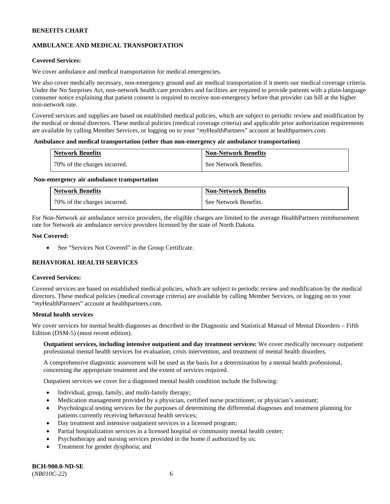# **AMBULANCE AND MEDICAL TRANSPORTATION**

### **Covered Services:**

We cover ambulance and medical transportation for medical emergencies.

We also cover medically necessary, non-emergency ground and air medical transportation if it meets our medical coverage criteria. Under the No Surprises Act, non-network health care providers and facilities are required to provide patients with a plain-language consumer notice explaining that patient consent is required to receive non-emergency before that provider can bill at the higher non-network rate.

Covered services and supplies are based on established medical policies, which are subject to periodic review and modification by the medical or dental directors. These medical policies (medical coverage criteria) and applicable prior authorization requirements are available by calling Member Services, or logging on to your "*my*HealthPartners" account a[t healthpartners.com.](http://www.healthpartners.com/)

#### **Ambulance and medical transportation (other than non-emergency air ambulance transportation)**

| <b>Network Benefits</b>      | <b>Non-Network Benefits</b> |
|------------------------------|-----------------------------|
| 70% of the charges incurred. | See Network Benefits.       |

#### **Non-emergency air ambulance transportation**

| <b>Network Benefits</b>      | <b>Non-Network Benefits</b> |
|------------------------------|-----------------------------|
| 70% of the charges incurred. | See Network Benefits.       |

For Non-Network air ambulance service providers, the eligible charges are limited to the average HealthPartners reimbursement rate for Network air ambulance service providers licensed by the state of North Dakota.

### **Not Covered:**

• See "Services Not Covered" in the Group Certificate.

# **BEHAVIORAL HEALTH SERVICES**

#### **Covered Services:**

Covered services are based on established medical policies, which are subject to periodic review and modification by the medical directors. These medical policies (medical coverage criteria) are available by calling Member Services, or logging on to your "*my*HealthPartners" account at [healthpartners.com.](http://healthpartners.com/)

### **Mental health services**

We cover services for mental health diagnoses as described in the Diagnostic and Statistical Manual of Mental Disorders - Fifth Edition (DSM-5) (most recent edition).

**Outpatient services, including intensive outpatient and day treatment services:** We cover medically necessary outpatient professional mental health services for evaluation, crisis intervention, and treatment of mental health disorders.

A comprehensive diagnostic assessment will be used as the basis for a determination by a mental health professional, concerning the appropriate treatment and the extent of services required.

Outpatient services we cover for a diagnosed mental health condition include the following:

- Individual, group, family, and multi-family therapy;
- Medication management provided by a physician, certified nurse practitioner, or physician's assistant;
- Psychological testing services for the purposes of determining the differential diagnoses and treatment planning for patients currently receiving behavioral health services;
- Day treatment and intensive outpatient services in a licensed program;
- Partial hospitalization services in a licensed hospital or community mental health center;
- Psychotherapy and nursing services provided in the home if authorized by us;
- Treatment for gender dysphoria; and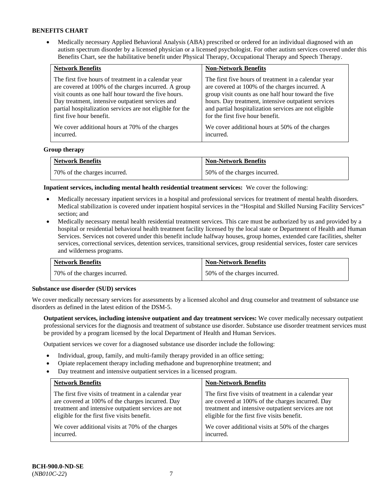• Medically necessary Applied Behavioral Analysis (ABA) prescribed or ordered for an individual diagnosed with an autism spectrum disorder by a licensed physician or a licensed psychologist. For other autism services covered under this Benefits Chart, see the habilitative benefit under Physical Therapy, Occupational Therapy and Speech Therapy.

| <b>Network Benefits</b>                                   | <b>Non-Network Benefits</b>                           |
|-----------------------------------------------------------|-------------------------------------------------------|
| The first five hours of treatment in a calendar year      | The first five hours of treatment in a calendar year  |
| are covered at 100% of the charges incurred. A group      | are covered at 100% of the charges incurred. A        |
| visit counts as one half hour toward the five hours.      | group visit counts as one half hour toward the five   |
| Day treatment, intensive outpatient services and          | hours. Day treatment, intensive outpatient services   |
| partial hospitalization services are not eligible for the | and partial hospitalization services are not eligible |
| first five hour benefit.                                  | for the first five hour benefit.                      |
| We cover additional hours at 70% of the charges           | We cover additional hours at 50% of the charges       |
| incurred.                                                 | incurred.                                             |

### **Group therapy**

| <b>Network Benefits</b>        | <b>Non-Network Benefits</b>  |
|--------------------------------|------------------------------|
| 1 70% of the charges incurred. | 50% of the charges incurred. |

**Inpatient services, including mental health residential treatment services:** We cover the following:

- Medically necessary inpatient services in a hospital and professional services for treatment of mental health disorders. Medical stabilization is covered under inpatient hospital services in the "Hospital and Skilled Nursing Facility Services" section; and
- Medically necessary mental health residential treatment services. This care must be authorized by us and provided by a hospital or residential behavioral health treatment facility licensed by the local state or Department of Health and Human Services. Services not covered under this benefit include halfway houses, group homes, extended care facilities, shelter services, correctional services, detention services, transitional services, group residential services, foster care services and wilderness programs.

| <b>Network Benefits</b>      | <b>Non-Network Benefits</b>  |
|------------------------------|------------------------------|
| 70% of the charges incurred. | 50% of the charges incurred. |

#### **Substance use disorder (SUD) services**

We cover medically necessary services for assessments by a licensed alcohol and drug counselor and treatment of substance use disorders as defined in the latest edition of the DSM-5.

**Outpatient services, including intensive outpatient and day treatment services:** We cover medically necessary outpatient professional services for the diagnosis and treatment of substance use disorder. Substance use disorder treatment services must be provided by a program licensed by the local Department of Health and Human Services.

Outpatient services we cover for a diagnosed substance use disorder include the following:

- Individual, group, family, and multi-family therapy provided in an office setting;
- Opiate replacement therapy including methadone and buprenorphine treatment; and
- Day treatment and intensive outpatient services in a licensed program.

| <b>Network Benefits</b>                               | <b>Non-Network Benefits</b>                           |
|-------------------------------------------------------|-------------------------------------------------------|
| The first five visits of treatment in a calendar year | The first five visits of treatment in a calendar year |
| are covered at 100% of the charges incurred. Day      | are covered at 100% of the charges incurred. Day      |
| treatment and intensive outpatient services are not   | treatment and intensive outpatient services are not   |
| eligible for the first five visits benefit.           | eligible for the first five visits benefit.           |
| We cover additional visits at 70% of the charges      | We cover additional visits at 50% of the charges      |
| incurred.                                             | incurred.                                             |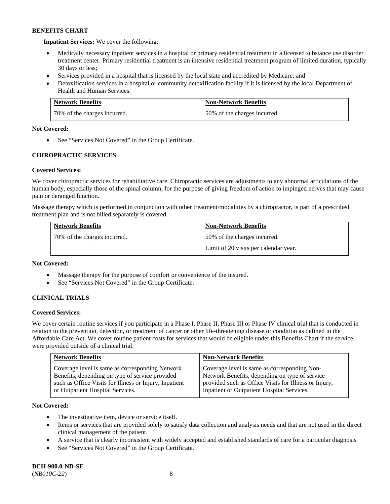**Inpatient Services:** We cover the following:

- Medically necessary inpatient services in a hospital or primary residential treatment in a licensed substance use disorder treatment center. Primary residential treatment is an intensive residential treatment program of limited duration, typically 30 days or less;
- Services provided in a hospital that is licensed by the local state and accredited by Medicare; and
- Detoxification services in a hospital or community detoxification facility if it is licensed by the local Department of Health and Human Services.

| <b>Network Benefits</b>      | <b>Non-Network Benefits</b>  |
|------------------------------|------------------------------|
| 70% of the charges incurred. | 50% of the charges incurred. |

### **Not Covered:**

• See "Services Not Covered" in the Group Certificate.

# **CHIROPRACTIC SERVICES**

# **Covered Services:**

We cover chiropractic services for rehabilitative care. Chiropractic services are adjustments to any abnormal articulations of the human body, especially those of the spinal column, for the purpose of giving freedom of action to impinged nerves that may cause pain or deranged function.

Massage therapy which is performed in conjunction with other treatment/modalities by a chiropractor, is part of a prescribed treatment plan and is not billed separately is covered.

| <b>Network Benefits</b>      | <b>Non-Network Benefits</b>           |
|------------------------------|---------------------------------------|
| 70% of the charges incurred. | 50% of the charges incurred.          |
|                              | Limit of 20 visits per calendar year. |

### **Not Covered:**

- Massage therapy for the purpose of comfort or convenience of the insured.
- See "Services Not Covered" in the Group Certificate.

# **CLINICAL TRIALS**

### **Covered Services:**

We cover certain routine services if you participate in a Phase I, Phase II, Phase III or Phase IV clinical trial that is conducted in relation to the prevention, detection, or treatment of cancer or other life-threatening disease or condition as defined in the Affordable Care Act. We cover routine patient costs for services that would be eligible under this Benefits Chart if the service were provided outside of a clinical trial.

| <b>Network Benefits</b>                                                                                                                                                                          | <b>Non-Network Benefits</b>                                                                                                                                                                           |
|--------------------------------------------------------------------------------------------------------------------------------------------------------------------------------------------------|-------------------------------------------------------------------------------------------------------------------------------------------------------------------------------------------------------|
| Coverage level is same as corresponding Network<br>Benefits, depending on type of service provided<br>such as Office Visits for Illness or Injury, Inpatient<br>or Outpatient Hospital Services. | Coverage level is same as corresponding Non-<br>Network Benefits, depending on type of service<br>provided such as Office Visits for Illness or Injury,<br>Inpatient or Outpatient Hospital Services. |

### **Not Covered:**

- The investigative item, device or service itself.
- Items or services that are provided solely to satisfy data collection and analysis needs and that are not used in the direct clinical management of the patient.
- A service that is clearly inconsistent with widely accepted and established standards of care for a particular diagnosis.
- See "Services Not Covered" in the Group Certificate.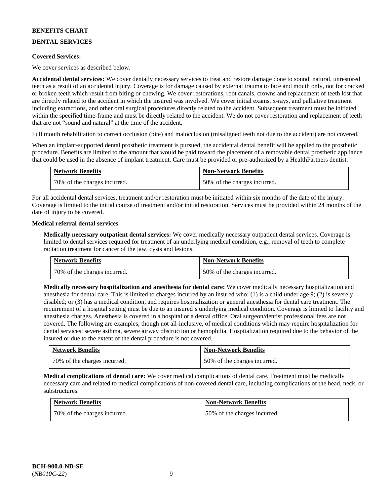# **DENTAL SERVICES**

### **Covered Services:**

We cover services as described below.

**Accidental dental services:** We cover dentally necessary services to treat and restore damage done to sound, natural, unrestored teeth as a result of an accidental injury. Coverage is for damage caused by external trauma to face and mouth only, not for cracked or broken teeth which result from biting or chewing. We cover restorations, root canals, crowns and replacement of teeth lost that are directly related to the accident in which the insured was involved. We cover initial exams, x-rays, and palliative treatment including extractions, and other oral surgical procedures directly related to the accident. Subsequent treatment must be initiated within the specified time-frame and must be directly related to the accident. We do not cover restoration and replacement of teeth that are not "sound and natural" at the time of the accident.

Full mouth rehabilitation to correct occlusion (bite) and malocclusion (misaligned teeth not due to the accident) are not covered.

When an implant-supported dental prosthetic treatment is pursued, the accidental dental benefit will be applied to the prosthetic procedure. Benefits are limited to the amount that would be paid toward the placement of a removable dental prosthetic appliance that could be used in the absence of implant treatment. Care must be provided or pre-authorized by a HealthPartners dentist.

| <b>Network Benefits</b>      | <b>Non-Network Benefits</b>  |
|------------------------------|------------------------------|
| 70% of the charges incurred. | 50% of the charges incurred. |

For all accidental dental services, treatment and/or restoration must be initiated within six months of the date of the injury. Coverage is limited to the initial course of treatment and/or initial restoration. Services must be provided within 24 months of the date of injury to be covered.

### **Medical referral dental services**

**Medically necessary outpatient dental services:** We cover medically necessary outpatient dental services. Coverage is limited to dental services required for treatment of an underlying medical condition, e.g., removal of teeth to complete radiation treatment for cancer of the jaw, cysts and lesions.

| <b>Network Benefits</b>      | <b>Non-Network Benefits</b>  |
|------------------------------|------------------------------|
| 70% of the charges incurred. | 50% of the charges incurred. |

**Medically necessary hospitalization and anesthesia for dental care:** We cover medically necessary hospitalization and anesthesia for dental care. This is limited to charges incurred by an insured who: (1) is a child under age 9; (2) is severely disabled; or (3) has a medical condition, and requires hospitalization or general anesthesia for dental care treatment. The requirement of a hospital setting must be due to an insured's underlying medical condition. Coverage is limited to facility and anesthesia charges. Anesthesia is covered in a hospital or a dental office. Oral surgeon/dentist professional fees are not covered. The following are examples, though not all-inclusive, of medical conditions which may require hospitalization for dental services: severe asthma, severe airway obstruction or hemophilia. Hospitalization required due to the behavior of the insured or due to the extent of the dental procedure is not covered.

| <b>Network Benefits</b>      | <b>Non-Network Benefits</b>  |
|------------------------------|------------------------------|
| 70% of the charges incurred. | 50% of the charges incurred. |

**Medical complications of dental care:** We cover medical complications of dental care. Treatment must be medically necessary care and related to medical complications of non-covered dental care, including complications of the head, neck, or substructures.

| <b>Network Benefits</b>      | <b>Non-Network Benefits</b>  |
|------------------------------|------------------------------|
| 70% of the charges incurred. | 50% of the charges incurred. |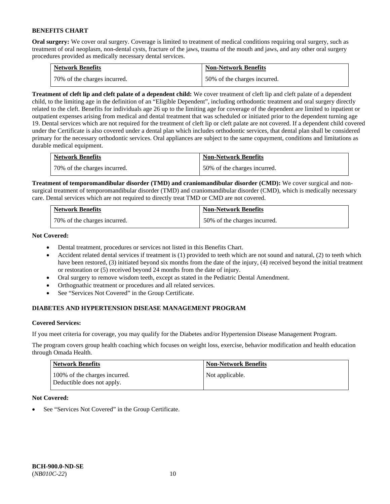**Oral surgery:** We cover oral surgery. Coverage is limited to treatment of medical conditions requiring oral surgery, such as treatment of oral neoplasm, non-dental cysts, fracture of the jaws, trauma of the mouth and jaws, and any other oral surgery procedures provided as medically necessary dental services.

| <b>Network Benefits</b>        | <b>Non-Network Benefits</b>  |
|--------------------------------|------------------------------|
| 1 70% of the charges incurred. | 50% of the charges incurred. |

**Treatment of cleft lip and cleft palate of a dependent child:** We cover treatment of cleft lip and cleft palate of a dependent child, to the limiting age in the definition of an "Eligible Dependent", including orthodontic treatment and oral surgery directly related to the cleft. Benefits for individuals age 26 up to the limiting age for coverage of the dependent are limited to inpatient or outpatient expenses arising from medical and dental treatment that was scheduled or initiated prior to the dependent turning age 19. Dental services which are not required for the treatment of cleft lip or cleft palate are not covered. If a dependent child covered under the Certificate is also covered under a dental plan which includes orthodontic services, that dental plan shall be considered primary for the necessary orthodontic services. Oral appliances are subject to the same copayment, conditions and limitations as durable medical equipment.

| <b>Network Benefits</b>      | <b>Non-Network Benefits</b>  |
|------------------------------|------------------------------|
| 70% of the charges incurred. | 50% of the charges incurred. |

**Treatment of temporomandibular disorder (TMD) and craniomandibular disorder (CMD):** We cover surgical and nonsurgical treatment of temporomandibular disorder (TMD) and craniomandibular disorder (CMD), which is medically necessary care. Dental services which are not required to directly treat TMD or CMD are not covered.

| <b>Network Benefits</b>      | <b>Non-Network Benefits</b>  |
|------------------------------|------------------------------|
| 70% of the charges incurred. | 50% of the charges incurred. |

**Not Covered:** 

- Dental treatment, procedures or services not listed in this Benefits Chart.
- Accident related dental services if treatment is (1) provided to teeth which are not sound and natural, (2) to teeth which have been restored, (3) initiated beyond six months from the date of the injury, (4) received beyond the initial treatment or restoration or (5) received beyond 24 months from the date of injury.
- Oral surgery to remove wisdom teeth, except as stated in the Pediatric Dental Amendment.
- Orthognathic treatment or procedures and all related services.
- See "Services Not Covered" in the Group Certificate.

# **DIABETES AND HYPERTENSION DISEASE MANAGEMENT PROGRAM**

### **Covered Services:**

If you meet criteria for coverage, you may qualify for the Diabetes and/or Hypertension Disease Management Program.

The program covers group health coaching which focuses on weight loss, exercise, behavior modification and health education through Omada Health.

| <b>Network Benefits</b>                                     | <b>Non-Network Benefits</b> |
|-------------------------------------------------------------|-----------------------------|
| 100% of the charges incurred.<br>Deductible does not apply. | Not applicable.             |

### **Not Covered:**

See "Services Not Covered" in the Group Certificate.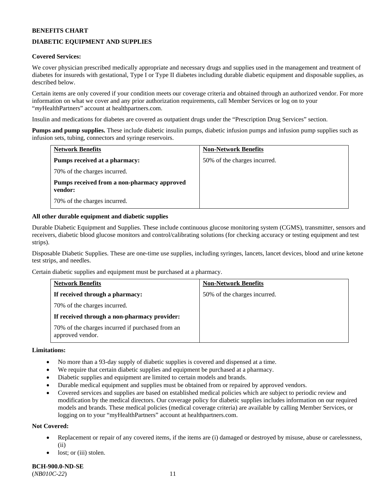# **DIABETIC EQUIPMENT AND SUPPLIES**

### **Covered Services:**

We cover physician prescribed medically appropriate and necessary drugs and supplies used in the management and treatment of diabetes for insureds with gestational, Type I or Type II diabetes including durable diabetic equipment and disposable supplies, as described below.

Certain items are only covered if your condition meets our coverage criteria and obtained through an authorized vendor. For more information on what we cover and any prior authorization requirements, call Member Services or log on to your "*my*HealthPartners" account at [healthpartners.com.](http://www.healthpartners.com/)

Insulin and medications for diabetes are covered as outpatient drugs under the "Prescription Drug Services" section.

**Pumps and pump supplies.** These include diabetic insulin pumps, diabetic infusion pumps and infusion pump supplies such as infusion sets, tubing, connectors and syringe reservoirs.

| <b>Network Benefits</b>                                | <b>Non-Network Benefits</b>  |
|--------------------------------------------------------|------------------------------|
| <b>Pumps received at a pharmacy:</b>                   | 50% of the charges incurred. |
| 70% of the charges incurred.                           |                              |
| Pumps received from a non-pharmacy approved<br>vendor: |                              |
| 70% of the charges incurred.                           |                              |

### **All other durable equipment and diabetic supplies**

Durable Diabetic Equipment and Supplies. These include continuous glucose monitoring system (CGMS), transmitter, sensors and receivers, diabetic blood glucose monitors and control/calibrating solutions (for checking accuracy or testing equipment and test strips).

Disposable Diabetic Supplies. These are one-time use supplies, including syringes, lancets, lancet devices, blood and urine ketone test strips, and needles.

Certain diabetic supplies and equipment must be purchased at a pharmacy.

| <b>Network Benefits</b>                                              | <b>Non-Network Benefits</b>  |
|----------------------------------------------------------------------|------------------------------|
| If received through a pharmacy:                                      | 50% of the charges incurred. |
| 70% of the charges incurred.                                         |                              |
| If received through a non-pharmacy provider:                         |                              |
| 70% of the charges incurred if purchased from an<br>approved vendor. |                              |

### **Limitations:**

- No more than a 93-day supply of diabetic supplies is covered and dispensed at a time.
- We require that certain diabetic supplies and equipment be purchased at a pharmacy.
- Diabetic supplies and equipment are limited to certain models and brands.
- Durable medical equipment and supplies must be obtained from or repaired by approved vendors.
- Covered services and supplies are based on established medical policies which are subject to periodic review and modification by the medical directors. Our coverage policy for diabetic supplies includes information on our required models and brands. These medical policies (medical coverage criteria) are available by calling Member Services, or logging on to your "myHealthPartners" account a[t healthpartners.com.](http://www.healthpartners.com/)

#### **Not Covered:**

- Replacement or repair of any covered items, if the items are (i) damaged or destroyed by misuse, abuse or carelessness, (ii)
- lost; or (iii) stolen.

**BCH-900.0-ND-SE** (*NB010C-22*) 11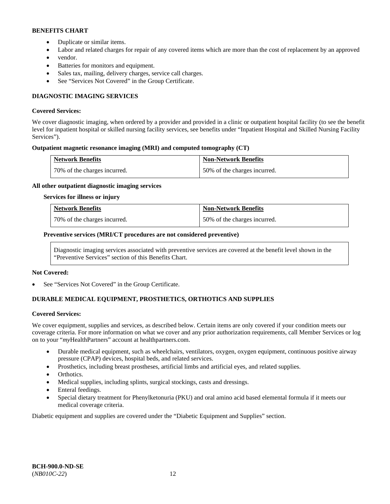- Duplicate or similar items.
- Labor and related charges for repair of any covered items which are more than the cost of replacement by an approved
- vendor.
- Batteries for monitors and equipment.
- Sales tax, mailing, delivery charges, service call charges.
- See "Services Not Covered" in the Group Certificate.

# **DIAGNOSTIC IMAGING SERVICES**

### **Covered Services:**

We cover diagnostic imaging, when ordered by a provider and provided in a clinic or outpatient hospital facility (to see the benefit level for inpatient hospital or skilled nursing facility services, see benefits under "Inpatient Hospital and Skilled Nursing Facility Services").

### **Outpatient magnetic resonance imaging (MRI) and computed tomography (CT)**

| <b>Network Benefits</b>      | <b>Non-Network Benefits</b>  |
|------------------------------|------------------------------|
| 70% of the charges incurred. | 50% of the charges incurred. |

### **All other outpatient diagnostic imaging services**

#### **Services for illness or injury**

| <b>Network Benefits</b>      | <b>Non-Network Benefits</b>  |
|------------------------------|------------------------------|
| 70% of the charges incurred. | 50% of the charges incurred. |

### **Preventive services (MRI/CT procedures are not considered preventive)**

Diagnostic imaging services associated with preventive services are covered at the benefit level shown in the "Preventive Services" section of this Benefits Chart.

#### **Not Covered:**

See "Services Not Covered" in the Group Certificate.

# **DURABLE MEDICAL EQUIPMENT, PROSTHETICS, ORTHOTICS AND SUPPLIES**

#### **Covered Services:**

We cover equipment, supplies and services, as described below. Certain items are only covered if your condition meets our coverage criteria. For more information on what we cover and any prior authorization requirements, call Member Services or log on to your "*my*HealthPartners" account at [healthpartners.com.](http://www.healthpartners.com/)

- Durable medical equipment, such as wheelchairs, ventilators, oxygen, oxygen equipment, continuous positive airway pressure (CPAP) devices, hospital beds, and related services.
- Prosthetics, including breast prostheses, artificial limbs and artificial eyes, and related supplies.
- Orthotics.
- Medical supplies, including splints, surgical stockings, casts and dressings.
- Enteral feedings.
- Special dietary treatment for Phenylketonuria (PKU) and oral amino acid based elemental formula if it meets our medical coverage criteria.

Diabetic equipment and supplies are covered under the "Diabetic Equipment and Supplies" section.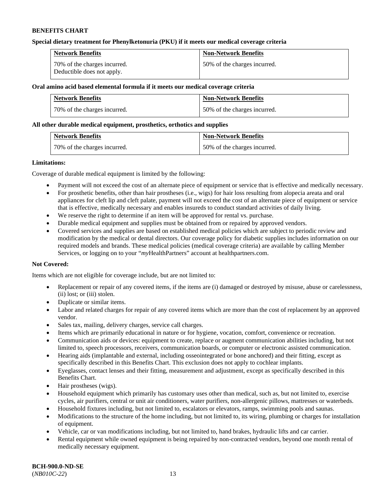### **Special dietary treatment for Phenylketonuria (PKU) if it meets our medical coverage criteria**

| <b>Network Benefits</b>                                    | <b>Non-Network Benefits</b>  |
|------------------------------------------------------------|------------------------------|
| 70% of the charges incurred.<br>Deductible does not apply. | 50% of the charges incurred. |

#### **Oral amino acid based elemental formula if it meets our medical coverage criteria**

| <b>Network Benefits</b>      | <b>Non-Network Benefits</b>  |
|------------------------------|------------------------------|
| 70% of the charges incurred. | 50% of the charges incurred. |

### **All other durable medical equipment, prosthetics, orthotics and supplies**

| <b>Network Benefits</b>      | <b>Non-Network Benefits</b>  |
|------------------------------|------------------------------|
| 70% of the charges incurred. | 50% of the charges incurred. |

### **Limitations:**

Coverage of durable medical equipment is limited by the following:

- Payment will not exceed the cost of an alternate piece of equipment or service that is effective and medically necessary.
- For prosthetic benefits, other than hair prostheses (i.e., wigs) for hair loss resulting from alopecia areata and oral appliances for cleft lip and cleft palate, payment will not exceed the cost of an alternate piece of equipment or service that is effective, medically necessary and enables insureds to conduct standard activities of daily living.
- We reserve the right to determine if an item will be approved for rental vs. purchase.
- Durable medical equipment and supplies must be obtained from or repaired by approved vendors.
- Covered services and supplies are based on established medical policies which are subject to periodic review and modification by the medical or dental directors. Our coverage policy for diabetic supplies includes information on our required models and brands. These medical policies (medical coverage criteria) are available by calling Member Services, or logging on to your "*my*HealthPartners" account at [healthpartners.com.](http://www.healthpartners.com/)

### **Not Covered:**

Items which are not eligible for coverage include, but are not limited to:

- Replacement or repair of any covered items, if the items are (i) damaged or destroyed by misuse, abuse or carelessness, (ii) lost; or (iii) stolen.
- Duplicate or similar items.
- Labor and related charges for repair of any covered items which are more than the cost of replacement by an approved vendor.
- Sales tax, mailing, delivery charges, service call charges.
- Items which are primarily educational in nature or for hygiene, vocation, comfort, convenience or recreation.
- Communication aids or devices: equipment to create, replace or augment communication abilities including, but not limited to, speech processors, receivers, communication boards, or computer or electronic assisted communication.
- Hearing aids (implantable and external, including osseointegrated or bone anchored) and their fitting, except as specifically described in this Benefits Chart. This exclusion does not apply to cochlear implants.
- Eyeglasses, contact lenses and their fitting, measurement and adjustment, except as specifically described in this Benefits Chart.
- Hair prostheses (wigs).
- Household equipment which primarily has customary uses other than medical, such as, but not limited to, exercise cycles, air purifiers, central or unit air conditioners, water purifiers, non-allergenic pillows, mattresses or waterbeds.
- Household fixtures including, but not limited to, escalators or elevators, ramps, swimming pools and saunas.
- Modifications to the structure of the home including, but not limited to, its wiring, plumbing or charges for installation of equipment.
- Vehicle, car or van modifications including, but not limited to, hand brakes, hydraulic lifts and car carrier.
- Rental equipment while owned equipment is being repaired by non-contracted vendors, beyond one month rental of medically necessary equipment.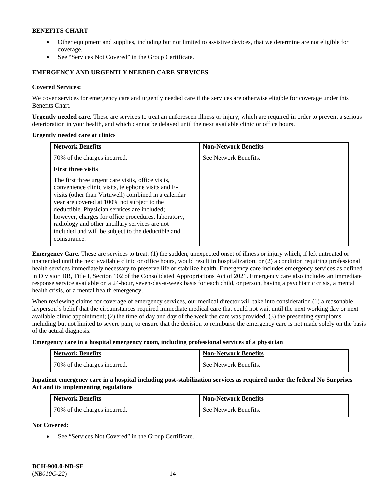- Other equipment and supplies, including but not limited to assistive devices, that we determine are not eligible for coverage.
- See "Services Not Covered" in the Group Certificate.

# **EMERGENCY AND URGENTLY NEEDED CARE SERVICES**

### **Covered Services:**

We cover services for emergency care and urgently needed care if the services are otherwise eligible for coverage under this Benefits Chart.

**Urgently needed care.** These are services to treat an unforeseen illness or injury, which are required in order to prevent a serious deterioration in your health, and which cannot be delayed until the next available clinic or office hours.

#### **Urgently needed care at clinics**

| <b>Network Benefits</b>                                                                                                                                                                                                                                                                                                                                                                                                                        | <b>Non-Network Benefits</b> |
|------------------------------------------------------------------------------------------------------------------------------------------------------------------------------------------------------------------------------------------------------------------------------------------------------------------------------------------------------------------------------------------------------------------------------------------------|-----------------------------|
| 70% of the charges incurred.                                                                                                                                                                                                                                                                                                                                                                                                                   | See Network Benefits.       |
| <b>First three visits</b>                                                                                                                                                                                                                                                                                                                                                                                                                      |                             |
| The first three urgent care visits, office visits,<br>convenience clinic visits, telephone visits and E-<br>visits (other than Virtuwell) combined in a calendar<br>year are covered at 100% not subject to the<br>deductible. Physician services are included;<br>however, charges for office procedures, laboratory,<br>radiology and other ancillary services are not<br>included and will be subject to the deductible and<br>coinsurance. |                             |

**Emergency Care.** These are services to treat: (1) the sudden, unexpected onset of illness or injury which, if left untreated or unattended until the next available clinic or office hours, would result in hospitalization, or (2) a condition requiring professional health services immediately necessary to preserve life or stabilize health. Emergency care includes emergency services as defined in Division BB, Title I, Section 102 of the Consolidated Appropriations Act of 2021. Emergency care also includes an immediate response service available on a 24-hour, seven-day-a-week basis for each child, or person, having a psychiatric crisis, a mental health crisis, or a mental health emergency.

When reviewing claims for coverage of emergency services, our medical director will take into consideration (1) a reasonable layperson's belief that the circumstances required immediate medical care that could not wait until the next working day or next available clinic appointment; (2) the time of day and day of the week the care was provided; (3) the presenting symptoms including but not limited to severe pain, to ensure that the decision to reimburse the emergency care is not made solely on the basis of the actual diagnosis.

**Emergency care in a hospital emergency room, including professional services of a physician**

| <b>Network Benefits</b>      | <b>Non-Network Benefits</b> |
|------------------------------|-----------------------------|
| 70% of the charges incurred. | See Network Benefits.       |

**Inpatient emergency care in a hospital including post-stabilization services as required under the federal No Surprises Act and its implementing regulations**

| <b>Network Benefits</b>      | <b>Non-Network Benefits</b> |
|------------------------------|-----------------------------|
| 70% of the charges incurred. | See Network Benefits.       |

**Not Covered:**

• See "Services Not Covered" in the Group Certificate.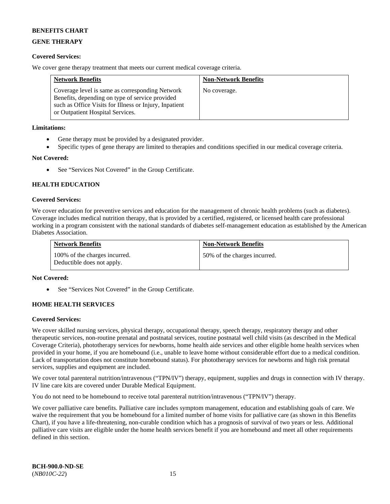# **GENE THERAPY**

# **Covered Services:**

We cover gene therapy treatment that meets our current medical coverage criteria.

| <b>Network Benefits</b>                                                                                                                                                                          | <b>Non-Network Benefits</b> |
|--------------------------------------------------------------------------------------------------------------------------------------------------------------------------------------------------|-----------------------------|
| Coverage level is same as corresponding Network<br>Benefits, depending on type of service provided<br>such as Office Visits for Illness or Injury, Inpatient<br>or Outpatient Hospital Services. | No coverage.                |

### **Limitations:**

- Gene therapy must be provided by a designated provider.
- Specific types of gene therapy are limited to therapies and conditions specified in our medical coverage criteria.

### **Not Covered:**

See "Services Not Covered" in the Group Certificate.

# **HEALTH EDUCATION**

### **Covered Services:**

We cover education for preventive services and education for the management of chronic health problems (such as diabetes). Coverage includes medical nutrition therapy, that is provided by a certified, registered, or licensed health care professional working in a program consistent with the national standards of diabetes self-management education as established by the American Diabetes Association.

| <b>Network Benefits</b>                                     | <b>Non-Network Benefits</b>  |
|-------------------------------------------------------------|------------------------------|
| 100% of the charges incurred.<br>Deductible does not apply. | 50% of the charges incurred. |

### **Not Covered:**

See "Services Not Covered" in the Group Certificate.

# **HOME HEALTH SERVICES**

### **Covered Services:**

We cover skilled nursing services, physical therapy, occupational therapy, speech therapy, respiratory therapy and other therapeutic services, non-routine prenatal and postnatal services, routine postnatal well child visits (as described in the Medical Coverage Criteria), phototherapy services for newborns, home health aide services and other eligible home health services when provided in your home, if you are homebound (i.e., unable to leave home without considerable effort due to a medical condition. Lack of transportation does not constitute homebound status). For phototherapy services for newborns and high risk prenatal services, supplies and equipment are included.

We cover total parenteral nutrition/intravenous ("TPN/IV") therapy, equipment, supplies and drugs in connection with IV therapy. IV line care kits are covered under Durable Medical Equipment.

You do not need to be homebound to receive total parenteral nutrition/intravenous ("TPN/IV") therapy.

We cover palliative care benefits. Palliative care includes symptom management, education and establishing goals of care. We waive the requirement that you be homebound for a limited number of home visits for palliative care (as shown in this Benefits Chart), if you have a life-threatening, non-curable condition which has a prognosis of survival of two years or less. Additional palliative care visits are eligible under the home health services benefit if you are homebound and meet all other requirements defined in this section.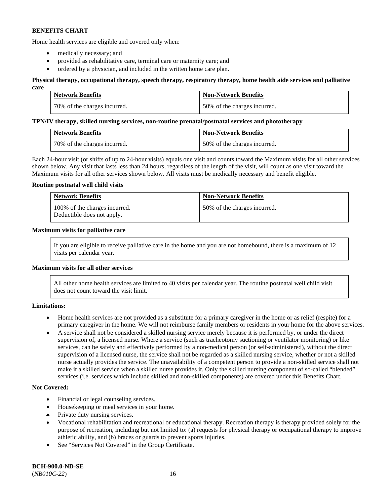Home health services are eligible and covered only when:

- medically necessary; and
- provided as rehabilitative care, terminal care or maternity care; and
- ordered by a physician, and included in the written home care plan.

#### **Physical therapy, occupational therapy, speech therapy, respiratory therapy, home health aide services and palliative care**

| <b>Network Benefits</b>      | <b>Non-Network Benefits</b>  |
|------------------------------|------------------------------|
| 70% of the charges incurred. | 50% of the charges incurred. |

#### **TPN/IV therapy, skilled nursing services, non-routine prenatal/postnatal services and phototherapy**

| <b>Network Benefits</b>      | <b>Non-Network Benefits</b>  |
|------------------------------|------------------------------|
| 70% of the charges incurred. | 50% of the charges incurred. |

Each 24-hour visit (or shifts of up to 24-hour visits) equals one visit and counts toward the Maximum visits for all other services shown below. Any visit that lasts less than 24 hours, regardless of the length of the visit, will count as one visit toward the Maximum visits for all other services shown below. All visits must be medically necessary and benefit eligible.

### **Routine postnatal well child visits**

| <b>Network Benefits</b>                                     | <b>Non-Network Benefits</b>  |
|-------------------------------------------------------------|------------------------------|
| 100% of the charges incurred.<br>Deductible does not apply. | 50% of the charges incurred. |

### **Maximum visits for palliative care**

If you are eligible to receive palliative care in the home and you are not homebound, there is a maximum of 12 visits per calendar year.

### **Maximum visits for all other services**

All other home health services are limited to 40 visits per calendar year. The routine postnatal well child visit does not count toward the visit limit.

#### **Limitations:**

- Home health services are not provided as a substitute for a primary caregiver in the home or as relief (respite) for a primary caregiver in the home. We will not reimburse family members or residents in your home for the above services.
- A service shall not be considered a skilled nursing service merely because it is performed by, or under the direct supervision of, a licensed nurse. Where a service (such as tracheotomy suctioning or ventilator monitoring) or like services, can be safely and effectively performed by a non-medical person (or self-administered), without the direct supervision of a licensed nurse, the service shall not be regarded as a skilled nursing service, whether or not a skilled nurse actually provides the service. The unavailability of a competent person to provide a non-skilled service shall not make it a skilled service when a skilled nurse provides it. Only the skilled nursing component of so-called "blended" services (i.e. services which include skilled and non-skilled components) are covered under this Benefits Chart.

#### **Not Covered:**

- Financial or legal counseling services.
- Housekeeping or meal services in your home.
- Private duty nursing services.
- Vocational rehabilitation and recreational or educational therapy. Recreation therapy is therapy provided solely for the purpose of recreation, including but not limited to: (a) requests for physical therapy or occupational therapy to improve athletic ability, and (b) braces or guards to prevent sports injuries.
- See "Services Not Covered" in the Group Certificate.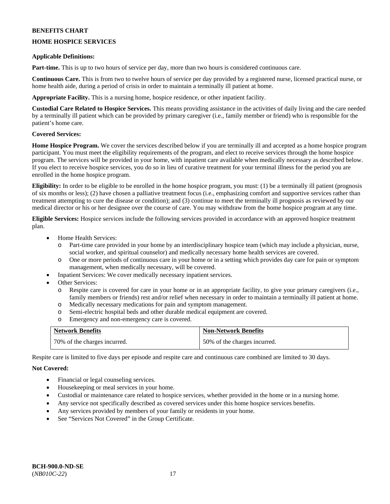# **HOME HOSPICE SERVICES**

### **Applicable Definitions:**

**Part-time.** This is up to two hours of service per day, more than two hours is considered continuous care.

**Continuous Care.** This is from two to twelve hours of service per day provided by a registered nurse, licensed practical nurse, or home health aide, during a period of crisis in order to maintain a terminally ill patient at home.

**Appropriate Facility.** This is a nursing home, hospice residence, or other inpatient facility.

**Custodial Care Related to Hospice Services.** This means providing assistance in the activities of daily living and the care needed by a terminally ill patient which can be provided by primary caregiver (i.e., family member or friend) who is responsible for the patient's home care.

### **Covered Services:**

**Home Hospice Program.** We cover the services described below if you are terminally ill and accepted as a home hospice program participant. You must meet the eligibility requirements of the program, and elect to receive services through the home hospice program. The services will be provided in your home, with inpatient care available when medically necessary as described below. If you elect to receive hospice services, you do so in lieu of curative treatment for your terminal illness for the period you are enrolled in the home hospice program.

**Eligibility:** In order to be eligible to be enrolled in the home hospice program, you must: (1) be a terminally ill patient (prognosis of six months or less); (2) have chosen a palliative treatment focus (i.e., emphasizing comfort and supportive services rather than treatment attempting to cure the disease or condition); and (3) continue to meet the terminally ill prognosis as reviewed by our medical director or his or her designee over the course of care. You may withdraw from the home hospice program at any time.

**Eligible Services:** Hospice services include the following services provided in accordance with an approved hospice treatment plan.

- Home Health Services:
	- o Part-time care provided in your home by an interdisciplinary hospice team (which may include a physician, nurse, social worker, and spiritual counselor) and medically necessary home health services are covered.
	- o One or more periods of continuous care in your home or in a setting which provides day care for pain or symptom management, when medically necessary, will be covered.
- Inpatient Services: We cover medically necessary inpatient services.
- Other Services:
	- o Respite care is covered for care in your home or in an appropriate facility, to give your primary caregivers (i.e., family members or friends) rest and/or relief when necessary in order to maintain a terminally ill patient at home.
	- o Medically necessary medications for pain and symptom management.
	- o Semi-electric hospital beds and other durable medical equipment are covered.
	- Emergency and non-emergency care is covered.

| <b>Network Benefits</b>      | <b>Non-Network Benefits</b>  |
|------------------------------|------------------------------|
| 70% of the charges incurred. | 50% of the charges incurred. |

Respite care is limited to five days per episode and respite care and continuous care combined are limited to 30 days.

# **Not Covered:**

- Financial or legal counseling services.
- Housekeeping or meal services in your home.
- Custodial or maintenance care related to hospice services, whether provided in the home or in a nursing home.
- Any service not specifically described as covered services under this home hospice services benefits.
- Any services provided by members of your family or residents in your home.
- See "Services Not Covered" in the Group Certificate.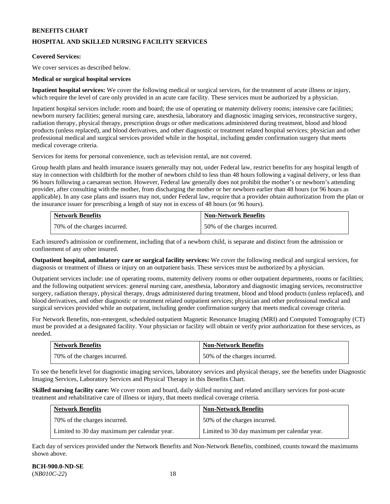# **HOSPITAL AND SKILLED NURSING FACILITY SERVICES**

### **Covered Services:**

We cover services as described below.

### **Medical or surgical hospital services**

**Inpatient hospital services:** We cover the following medical or surgical services, for the treatment of acute illness or injury, which require the level of care only provided in an acute care facility. These services must be authorized by a physician.

Inpatient hospital services include: room and board; the use of operating or maternity delivery rooms; intensive care facilities; newborn nursery facilities; general nursing care, anesthesia, laboratory and diagnostic imaging services, reconstructive surgery, radiation therapy, physical therapy, prescription drugs or other medications administered during treatment, blood and blood products (unless replaced), and blood derivatives, and other diagnostic or treatment related hospital services; physician and other professional medical and surgical services provided while in the hospital, including gender confirmation surgery that meets medical coverage criteria.

Services for items for personal convenience, such as television rental, are not covered.

Group health plans and health insurance issuers generally may not, under Federal law, restrict benefits for any hospital length of stay in connection with childbirth for the mother of newborn child to less than 48 hours following a vaginal delivery, or less than 96 hours following a caesarean section. However, Federal law generally does not prohibit the mother's or newborn's attending provider, after consulting with the mother, from discharging the mother or her newborn earlier than 48 hours (or 96 hours as applicable). In any case plans and issuers may not, under Federal law, require that a provider obtain authorization from the plan or the insurance issuer for prescribing a length of stay not in excess of 48 hours (or 96 hours).

| <b>Network Benefits</b>        | <b>Non-Network Benefits</b>  |
|--------------------------------|------------------------------|
| 1 70% of the charges incurred. | 50% of the charges incurred. |

Each insured's admission or confinement, including that of a newborn child, is separate and distinct from the admission or confinement of any other insured.

**Outpatient hospital, ambulatory care or surgical facility services:** We cover the following medical and surgical services, for diagnosis or treatment of illness or injury on an outpatient basis. These services must be authorized by a physician.

Outpatient services include: use of operating rooms, maternity delivery rooms or other outpatient departments, rooms or facilities; and the following outpatient services: general nursing care, anesthesia, laboratory and diagnostic imaging services, reconstructive surgery, radiation therapy, physical therapy, drugs administered during treatment, blood and blood products (unless replaced), and blood derivatives, and other diagnostic or treatment related outpatient services; physician and other professional medical and surgical services provided while an outpatient, including gender confirmation surgery that meets medical coverage criteria.

For Network Benefits, non-emergent, scheduled outpatient Magnetic Resonance Imaging (MRI) and Computed Tomography (CT) must be provided at a designated facility. Your physician or facility will obtain or verify prior authorization for these services, as needed.

| Network Benefits             | <b>Non-Network Benefits</b>  |
|------------------------------|------------------------------|
| 70% of the charges incurred. | 50% of the charges incurred. |

To see the benefit level for diagnostic imaging services, laboratory services and physical therapy, see the benefits under Diagnostic Imaging Services, Laboratory Services and Physical Therapy in this Benefits Chart.

**Skilled nursing facility care:** We cover room and board, daily skilled nursing and related ancillary services for post-acute treatment and rehabilitative care of illness or injury, that meets medical coverage criteria.

| <b>Network Benefits</b>                      | <b>Non-Network Benefits</b>                  |
|----------------------------------------------|----------------------------------------------|
| 70% of the charges incurred.                 | 50% of the charges incurred.                 |
| Limited to 30 day maximum per calendar year. | Limited to 30 day maximum per calendar year. |

Each day of services provided under the Network Benefits and Non-Network Benefits, combined, counts toward the maximums shown above.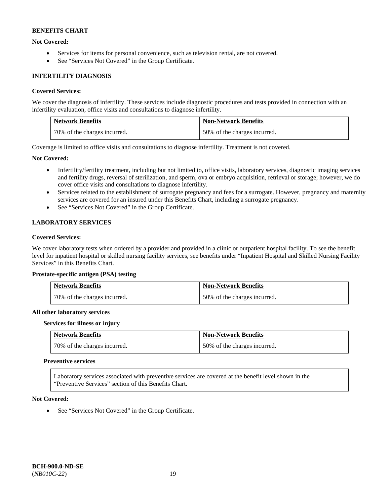### **Not Covered:**

- Services for items for personal convenience, such as television rental, are not covered.
- See "Services Not Covered" in the Group Certificate.

### **INFERTILITY DIAGNOSIS**

### **Covered Services:**

We cover the diagnosis of infertility. These services include diagnostic procedures and tests provided in connection with an infertility evaluation, office visits and consultations to diagnose infertility.

| <b>Network Benefits</b>      | <b>Non-Network Benefits</b>  |
|------------------------------|------------------------------|
| 70% of the charges incurred. | 50% of the charges incurred. |

Coverage is limited to office visits and consultations to diagnose infertility. Treatment is not covered.

### **Not Covered:**

- Infertility/fertility treatment, including but not limited to, office visits, laboratory services, diagnostic imaging services and fertility drugs, reversal of sterilization, and sperm, ova or embryo acquisition, retrieval or storage; however, we do cover office visits and consultations to diagnose infertility.
- Services related to the establishment of surrogate pregnancy and fees for a surrogate. However, pregnancy and maternity services are covered for an insured under this Benefits Chart, including a surrogate pregnancy.
- See "Services Not Covered" in the Group Certificate.

# **LABORATORY SERVICES**

### **Covered Services:**

We cover laboratory tests when ordered by a provider and provided in a clinic or outpatient hospital facility. To see the benefit level for inpatient hospital or skilled nursing facility services, see benefits under "Inpatient Hospital and Skilled Nursing Facility Services" in this Benefits Chart.

#### **Prostate-specific antigen (PSA) testing**

| <b>Network Benefits</b>      | <b>Non-Network Benefits</b>  |
|------------------------------|------------------------------|
| 70% of the charges incurred. | 50% of the charges incurred. |

#### **All other laboratory services**

#### **Services for illness or injury**

| <b>Network Benefits</b>      | <b>Non-Network Benefits</b>  |
|------------------------------|------------------------------|
| 70% of the charges incurred. | 50% of the charges incurred. |

#### **Preventive services**

Laboratory services associated with preventive services are covered at the benefit level shown in the "Preventive Services" section of this Benefits Chart.

#### **Not Covered:**

• See "Services Not Covered" in the Group Certificate.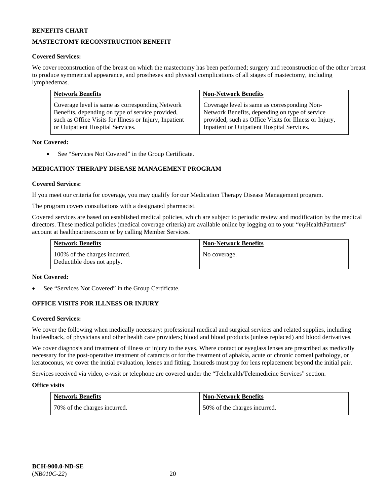# **MASTECTOMY RECONSTRUCTION BENEFIT**

### **Covered Services:**

We cover reconstruction of the breast on which the mastectomy has been performed; surgery and reconstruction of the other breast to produce symmetrical appearance, and prostheses and physical complications of all stages of mastectomy, including lymphedemas.

| <b>Network Benefits</b>                                | <b>Non-Network Benefits</b>                            |
|--------------------------------------------------------|--------------------------------------------------------|
| Coverage level is same as corresponding Network        | Coverage level is same as corresponding Non-           |
| Benefits, depending on type of service provided,       | Network Benefits, depending on type of service         |
| such as Office Visits for Illness or Injury, Inpatient | provided, such as Office Visits for Illness or Injury, |
| or Outpatient Hospital Services.                       | Inpatient or Outpatient Hospital Services.             |

### **Not Covered:**

• See "Services Not Covered" in the Group Certificate.

# **MEDICATION THERAPY DISEASE MANAGEMENT PROGRAM**

### **Covered Services:**

If you meet our criteria for coverage, you may qualify for our Medication Therapy Disease Management program.

The program covers consultations with a designated pharmacist.

Covered services are based on established medical policies, which are subject to periodic review and modification by the medical directors. These medical policies (medical coverage criteria) are available online by logging on to your "*my*HealthPartners" account a[t healthpartners.com](http://www.healthpartners.com/) or by calling Member Services.

| <b>Network Benefits</b>                                     | <b>Non-Network Benefits</b> |
|-------------------------------------------------------------|-----------------------------|
| 100% of the charges incurred.<br>Deductible does not apply. | No coverage.                |

#### **Not Covered:**

See "Services Not Covered" in the Group Certificate.

### **OFFICE VISITS FOR ILLNESS OR INJURY**

#### **Covered Services:**

We cover the following when medically necessary: professional medical and surgical services and related supplies, including biofeedback, of physicians and other health care providers; blood and blood products (unless replaced) and blood derivatives.

We cover diagnosis and treatment of illness or injury to the eyes. Where contact or eyeglass lenses are prescribed as medically necessary for the post-operative treatment of cataracts or for the treatment of aphakia, acute or chronic corneal pathology, or keratoconus, we cover the initial evaluation, lenses and fitting. Insureds must pay for lens replacement beyond the initial pair.

Services received via video, e-visit or telephone are covered under the "Telehealth/Telemedicine Services" section.

#### **Office visits**

| <b>Network Benefits</b>      | <b>Non-Network Benefits</b>  |
|------------------------------|------------------------------|
| 70% of the charges incurred. | 50% of the charges incurred. |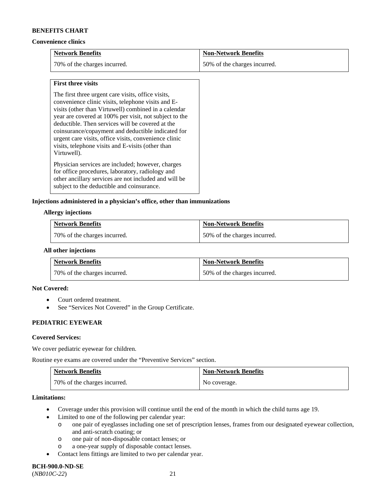#### **Convenience clinics**

| <b>Network Benefits</b>      | <b>Non-Network Benefits</b>  |
|------------------------------|------------------------------|
| 70% of the charges incurred. | 50% of the charges incurred. |

### **First three visits**

The first three urgent care visits, office visits, convenience clinic visits, telephone visits and Evisits (other than Virtuwell) combined in a calendar year are covered at 100% per visit, not subject to the deductible. Then services will be covered at the coinsurance/copayment and deductible indicated for urgent care visits, office visits, convenience clinic visits, telephone visits and E-visits (other than Virtuwell).

Physician services are included; however, charges for office procedures, laboratory, radiology and other ancillary services are not included and will be subject to the deductible and coinsurance.

### **Injections administered in a physician's office, other than immunizations**

#### **Allergy injections**

| <b>Network Benefits</b>      | <b>Non-Network Benefits</b>  |
|------------------------------|------------------------------|
| 70% of the charges incurred. | 50% of the charges incurred. |

### **All other injections**

| <b>Network Benefits</b>      | <b>Non-Network Benefits</b>  |
|------------------------------|------------------------------|
| 70% of the charges incurred. | 50% of the charges incurred. |

### **Not Covered:**

- Court ordered treatment.
- See "Services Not Covered" in the Group Certificate.

# **PEDIATRIC EYEWEAR**

#### **Covered Services:**

We cover pediatric eyewear for children.

Routine eye exams are covered under the "Preventive Services" section.

| <b>Network Benefits</b>        | <b>Non-Network Benefits</b> |
|--------------------------------|-----------------------------|
| 1 70% of the charges incurred. | No coverage.                |

#### **Limitations:**

- Coverage under this provision will continue until the end of the month in which the child turns age 19.
	- Limited to one of the following per calendar year:
		- o one pair of eyeglasses including one set of prescription lenses, frames from our designated eyewear collection, and anti-scratch coating; or
		- o one pair of non-disposable contact lenses; or
		- o a one-year supply of disposable contact lenses.
- Contact lens fittings are limited to two per calendar year.

# **BCH-900.0-ND-SE**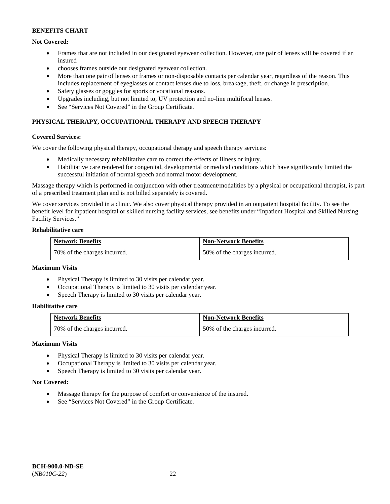### **Not Covered:**

- Frames that are not included in our designated eyewear collection. However, one pair of lenses will be covered if an insured
- chooses frames outside our designated eyewear collection.
- More than one pair of lenses or frames or non-disposable contacts per calendar year, regardless of the reason. This includes replacement of eyeglasses or contact lenses due to loss, breakage, theft, or change in prescription.
- Safety glasses or goggles for sports or vocational reasons.
- Upgrades including, but not limited to, UV protection and no-line multifocal lenses.
- See "Services Not Covered" in the Group Certificate.

# **PHYSICAL THERAPY, OCCUPATIONAL THERAPY AND SPEECH THERAPY**

#### **Covered Services:**

We cover the following physical therapy, occupational therapy and speech therapy services:

- Medically necessary rehabilitative care to correct the effects of illness or injury.
- Habilitative care rendered for congenital, developmental or medical conditions which have significantly limited the successful initiation of normal speech and normal motor development.

Massage therapy which is performed in conjunction with other treatment/modalities by a physical or occupational therapist, is part of a prescribed treatment plan and is not billed separately is covered.

We cover services provided in a clinic. We also cover physical therapy provided in an outpatient hospital facility. To see the benefit level for inpatient hospital or skilled nursing facility services, see benefits under "Inpatient Hospital and Skilled Nursing Facility Services."

#### **Rehabilitative care**

| <b>Network Benefits</b>      | <b>Non-Network Benefits</b>  |
|------------------------------|------------------------------|
| 70% of the charges incurred. | 50% of the charges incurred. |

### **Maximum Visits**

- Physical Therapy is limited to 30 visits per calendar year.
- Occupational Therapy is limited to 30 visits per calendar year.
- Speech Therapy is limited to 30 visits per calendar year.

### **Habilitative care**

| <b>Network Benefits</b>      | <b>Non-Network Benefits</b>  |
|------------------------------|------------------------------|
| 70% of the charges incurred. | 50% of the charges incurred. |

#### **Maximum Visits**

- Physical Therapy is limited to 30 visits per calendar year.
- Occupational Therapy is limited to 30 visits per calendar year.
- Speech Therapy is limited to 30 visits per calendar year.

#### **Not Covered:**

- Massage therapy for the purpose of comfort or convenience of the insured.
- See "Services Not Covered" in the Group Certificate.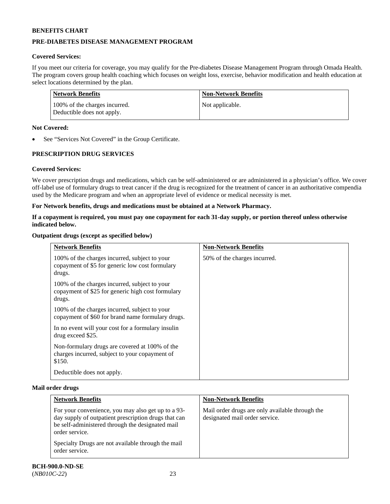# **PRE-DIABETES DISEASE MANAGEMENT PROGRAM**

# **Covered Services:**

If you meet our criteria for coverage, you may qualify for the Pre-diabetes Disease Management Program through Omada Health. The program covers group health coaching which focuses on weight loss, exercise, behavior modification and health education at select locations determined by the plan.

| Network Benefits                                            | <b>Non-Network Benefits</b> |
|-------------------------------------------------------------|-----------------------------|
| 100% of the charges incurred.<br>Deductible does not apply. | Not applicable.             |

### **Not Covered:**

See "Services Not Covered" in the Group Certificate.

# **PRESCRIPTION DRUG SERVICES**

### **Covered Services:**

We cover prescription drugs and medications, which can be self-administered or are administered in a physician's office. We cover off-label use of formulary drugs to treat cancer if the drug is recognized for the treatment of cancer in an authoritative compendia used by the Medicare program and when an appropriate level of evidence or medical necessity is met.

### **For Network benefits, drugs and medications must be obtained at a Network Pharmacy.**

### **If a copayment is required, you must pay one copayment for each 31-day supply, or portion thereof unless otherwise indicated below.**

### **Outpatient drugs (except as specified below)**

| <b>Network Benefits</b>                                                                                      | <b>Non-Network Benefits</b>  |
|--------------------------------------------------------------------------------------------------------------|------------------------------|
| 100% of the charges incurred, subject to your<br>copayment of \$5 for generic low cost formulary<br>drugs.   | 50% of the charges incurred. |
| 100% of the charges incurred, subject to your<br>copayment of \$25 for generic high cost formulary<br>drugs. |                              |
| 100% of the charges incurred, subject to your<br>copayment of \$60 for brand name formulary drugs.           |                              |
| In no event will your cost for a formulary insulin<br>drug exceed \$25.                                      |                              |
| Non-formulary drugs are covered at 100% of the<br>charges incurred, subject to your copayment of<br>\$150.   |                              |
| Deductible does not apply.                                                                                   |                              |

#### **Mail order drugs**

| <b>Network Benefits</b>                                                                                                                                                          | <b>Non-Network Benefits</b>                                                       |
|----------------------------------------------------------------------------------------------------------------------------------------------------------------------------------|-----------------------------------------------------------------------------------|
| For your convenience, you may also get up to a 93-<br>day supply of outpatient prescription drugs that can<br>be self-administered through the designated mail<br>order service. | Mail order drugs are only available through the<br>designated mail order service. |
| Specialty Drugs are not available through the mail<br>order service.                                                                                                             |                                                                                   |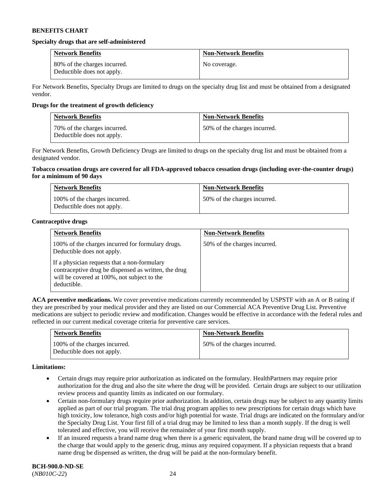#### **Specialty drugs that are self-administered**

| <b>Network Benefits</b>                                    | <b>Non-Network Benefits</b> |
|------------------------------------------------------------|-----------------------------|
| 80% of the charges incurred.<br>Deductible does not apply. | No coverage.                |

For Network Benefits, Specialty Drugs are limited to drugs on the specialty drug list and must be obtained from a designated vendor.

### **Drugs for the treatment of growth deficiency**

| <b>Network Benefits</b>                                    | <b>Non-Network Benefits</b>  |
|------------------------------------------------------------|------------------------------|
| 70% of the charges incurred.<br>Deductible does not apply. | 50% of the charges incurred. |

For Network Benefits, Growth Deficiency Drugs are limited to drugs on the specialty drug list and must be obtained from a designated vendor.

#### **Tobacco cessation drugs are covered for all FDA-approved tobacco cessation drugs (including over-the-counter drugs) for a minimum of 90 days**

| <b>Network Benefits</b>                                     | <b>Non-Network Benefits</b>  |
|-------------------------------------------------------------|------------------------------|
| 100% of the charges incurred.<br>Deductible does not apply. | 50% of the charges incurred. |

### **Contraceptive drugs**

| <b>Network Benefits</b>                                                                                                                                            | <b>Non-Network Benefits</b>  |
|--------------------------------------------------------------------------------------------------------------------------------------------------------------------|------------------------------|
| 100% of the charges incurred for formulary drugs.<br>Deductible does not apply.                                                                                    | 50% of the charges incurred. |
| If a physician requests that a non-formulary<br>contraceptive drug be dispensed as written, the drug<br>will be covered at 100%, not subject to the<br>deductible. |                              |

**ACA preventive medications.** We cover preventive medications currently recommended by USPSTF with an A or B rating if they are prescribed by your medical provider and they are listed on our Commercial ACA Preventive Drug List. Preventive medications are subject to periodic review and modification. Changes would be effective in accordance with the federal rules and reflected in our current medical coverage criteria for preventive care services.

| <b>Network Benefits</b>                                     | <b>Non-Network Benefits</b>  |
|-------------------------------------------------------------|------------------------------|
| 100% of the charges incurred.<br>Deductible does not apply. | 50% of the charges incurred. |

#### **Limitations:**

- Certain drugs may require prior authorization as indicated on the formulary. HealthPartners may require prior authorization for the drug and also the site where the drug will be provided. Certain drugs are subject to our utilization review process and quantity limits as indicated on our formulary.
- Certain non-formulary drugs require prior authorization. In addition, certain drugs may be subject to any quantity limits applied as part of our trial program. The trial drug program applies to new prescriptions for certain drugs which have high toxicity, low tolerance, high costs and/or high potential for waste. Trial drugs are indicated on the formulary and/or the Specialty Drug List. Your first fill of a trial drug may be limited to less than a month supply. If the drug is well tolerated and effective, you will receive the remainder of your first month supply.
- If an insured requests a brand name drug when there is a generic equivalent, the brand name drug will be covered up to the charge that would apply to the generic drug, minus any required copayment. If a physician requests that a brand name drug be dispensed as written, the drug will be paid at the non-formulary benefit.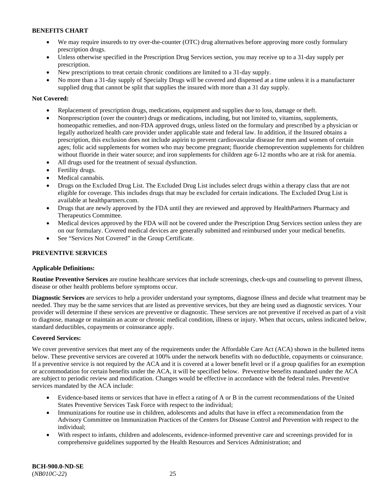- We may require insureds to try over-the-counter (OTC) drug alternatives before approving more costly formulary prescription drugs.
- Unless otherwise specified in the Prescription Drug Services section, you may receive up to a 31-day supply per prescription.
- New prescriptions to treat certain chronic conditions are limited to a 31-day supply.
- No more than a 31-day supply of Specialty Drugs will be covered and dispensed at a time unless it is a manufacturer supplied drug that cannot be split that supplies the insured with more than a 31 day supply.

# **Not Covered:**

- Replacement of prescription drugs, medications, equipment and supplies due to loss, damage or theft.
- Nonprescription (over the counter) drugs or medications, including, but not limited to, vitamins, supplements, homeopathic remedies, and non-FDA approved drugs, unless listed on the formulary and prescribed by a physician or legally authorized health care provider under applicable state and federal law. In addition, if the Insured obtains a prescription, this exclusion does not include aspirin to prevent cardiovascular disease for men and women of certain ages; folic acid supplements for women who may become pregnant; fluoride chemoprevention supplements for children without fluoride in their water source; and iron supplements for children age 6-12 months who are at risk for anemia.
- All drugs used for the treatment of sexual dysfunction.
- Fertility drugs.
- Medical cannabis.
- Drugs on the Excluded Drug List. The Excluded Drug List includes select drugs within a therapy class that are not eligible for coverage. This includes drugs that may be excluded for certain indications. The Excluded Drug List is available at [healthpartners.com.](http://www.healthpartners.com/)
- Drugs that are newly approved by the FDA until they are reviewed and approved by HealthPartners Pharmacy and Therapeutics Committee.
- Medical devices approved by the FDA will not be covered under the Prescription Drug Services section unless they are on our formulary. Covered medical devices are generally submitted and reimbursed under your medical benefits.
- See "Services Not Covered" in the Group Certificate.

# **PREVENTIVE SERVICES**

### **Applicable Definitions:**

**Routine Preventive Services** are routine healthcare services that include screenings, check-ups and counseling to prevent illness, disease or other health problems before symptoms occur.

**Diagnostic Services** are services to help a provider understand your symptoms, diagnose illness and decide what treatment may be needed. They may be the same services that are listed as preventive services, but they are being used as diagnostic services. Your provider will determine if these services are preventive or diagnostic. These services are not preventive if received as part of a visit to diagnose, manage or maintain an acute or chronic medical condition, illness or injury. When that occurs, unless indicated below, standard deductibles, copayments or coinsurance apply.

### **Covered Services:**

We cover preventive services that meet any of the requirements under the Affordable Care Act (ACA) shown in the bulleted items below. These preventive services are covered at 100% under the network benefits with no deductible, copayments or coinsurance. If a preventive service is not required by the ACA and it is covered at a lower benefit level or if a group qualifies for an exemption or accommodation for certain benefits under the ACA, it will be specified below. Preventive benefits mandated under the ACA are subject to periodic review and modification. Changes would be effective in accordance with the federal rules. Preventive services mandated by the ACA include:

- Evidence-based items or services that have in effect a rating of A or B in the current recommendations of the United States Preventive Services Task Force with respect to the individual;
- Immunizations for routine use in children, adolescents and adults that have in effect a recommendation from the Advisory Committee on Immunization Practices of the Centers for Disease Control and Prevention with respect to the individual;
- With respect to infants, children and adolescents, evidence-informed preventive care and screenings provided for in comprehensive guidelines supported by the Health Resources and Services Administration; and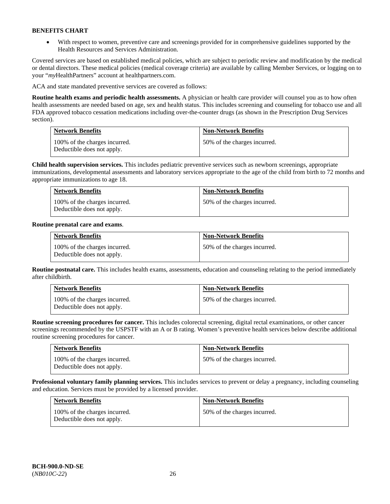• With respect to women, preventive care and screenings provided for in comprehensive guidelines supported by the Health Resources and Services Administration.

Covered services are based on established medical policies, which are subject to periodic review and modification by the medical or dental directors. These medical policies (medical coverage criteria) are available by calling Member Services, or logging on to your "*my*HealthPartners" account at [healthpartners.com.](http://www.healthpartners.com/) 

ACA and state mandated preventive services are covered as follows:

**Routine health exams and periodic health assessments.** A physician or health care provider will counsel you as to how often health assessments are needed based on age, sex and health status. This includes screening and counseling for tobacco use and all FDA approved tobacco cessation medications including over-the-counter drugs (as shown in the Prescription Drug Services section).

| <b>Network Benefits</b>                                     | <b>Non-Network Benefits</b>  |
|-------------------------------------------------------------|------------------------------|
| 100% of the charges incurred.<br>Deductible does not apply. | 50% of the charges incurred. |

**Child health supervision services.** This includes pediatric preventive services such as newborn screenings, appropriate immunizations, developmental assessments and laboratory services appropriate to the age of the child from birth to 72 months and appropriate immunizations to age 18.

| <b>Network Benefits</b>                                     | <b>Non-Network Benefits</b>  |
|-------------------------------------------------------------|------------------------------|
| 100% of the charges incurred.<br>Deductible does not apply. | 50% of the charges incurred. |

### **Routine prenatal care and exams**.

| <b>Network Benefits</b>                                     | <b>Non-Network Benefits</b>  |
|-------------------------------------------------------------|------------------------------|
| 100% of the charges incurred.<br>Deductible does not apply. | 50% of the charges incurred. |

**Routine postnatal care.** This includes health exams, assessments, education and counseling relating to the period immediately after childbirth.

| <b>Network Benefits</b>                                     | <b>Non-Network Benefits</b>  |
|-------------------------------------------------------------|------------------------------|
| 100% of the charges incurred.<br>Deductible does not apply. | 50% of the charges incurred. |

**Routine screening procedures for cancer.** This includes colorectal screening, digital rectal examinations, or other cancer screenings recommended by the USPSTF with an A or B rating. Women's preventive health services below describe additional routine screening procedures for cancer.

| <b>Network Benefits</b>                                     | <b>Non-Network Benefits</b>  |
|-------------------------------------------------------------|------------------------------|
| 100% of the charges incurred.<br>Deductible does not apply. | 50% of the charges incurred. |

**Professional voluntary family planning services.** This includes services to prevent or delay a pregnancy, including counseling and education. Services must be provided by a licensed provider.

| <b>Network Benefits</b>                                     | <b>Non-Network Benefits</b>  |
|-------------------------------------------------------------|------------------------------|
| 100% of the charges incurred.<br>Deductible does not apply. | 50% of the charges incurred. |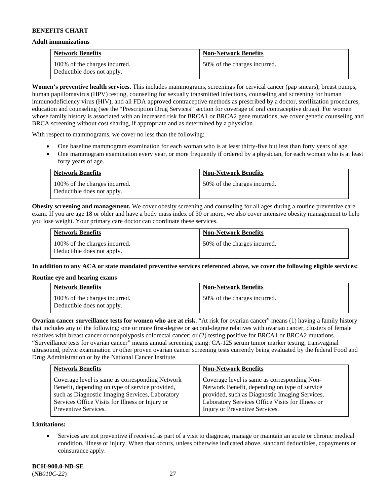#### **Adult immunizations**

| <b>Network Benefits</b>                                     | <b>Non-Network Benefits</b>  |
|-------------------------------------------------------------|------------------------------|
| 100% of the charges incurred.<br>Deductible does not apply. | 50% of the charges incurred. |

**Women's preventive health services.** This includes mammograms, screenings for cervical cancer (pap smears), breast pumps, human papillomavirus (HPV) testing, counseling for sexually transmitted infections, counseling and screening for human immunodeficiency virus (HIV), and all FDA approved contraceptive methods as prescribed by a doctor, sterilization procedures, education and counseling (see the "Prescription Drug Services" section for coverage of oral contraceptive drugs). For women whose family history is associated with an increased risk for BRCA1 or BRCA2 gene mutations, we cover genetic counseling and BRCA screening without cost sharing, if appropriate and as determined by a physician.

With respect to mammograms, we cover no less than the following:

- One baseline mammogram examination for each woman who is at least thirty-five but less than forty years of age.
- One mammogram examination every year, or more frequently if ordered by a physician, for each woman who is at least forty years of age.

| <b>Network Benefits</b>                                     | <b>Non-Network Benefits</b>  |
|-------------------------------------------------------------|------------------------------|
| 100% of the charges incurred.<br>Deductible does not apply. | 50% of the charges incurred. |

**Obesity screening and management.** We cover obesity screening and counseling for all ages during a routine preventive care exam. If you are age 18 or older and have a body mass index of 30 or more, we also cover intensive obesity management to help you lose weight. Your primary care doctor can coordinate these services.

| <b>Network Benefits</b>                                     | <b>Non-Network Benefits</b>  |
|-------------------------------------------------------------|------------------------------|
| 100% of the charges incurred.<br>Deductible does not apply. | 50% of the charges incurred. |

**In addition to any ACA or state mandated preventive services referenced above, we cover the following eligible services:**

#### **Routine eye and hearing exams**

| <b>Network Benefits</b>                                     | <b>Non-Network Benefits</b>  |
|-------------------------------------------------------------|------------------------------|
| 100% of the charges incurred.<br>Deductible does not apply. | 50% of the charges incurred. |

**Ovarian cancer surveillance tests for women who are at risk.** "At risk for ovarian cancer" means (1) having a family history that includes any of the following: one or more first-degree or second-degree relatives with ovarian cancer, clusters of female relatives with breast cancer or nonpolyposis colorectal cancer; or (2) testing positive for BRCA1 or BRCA2 mutations. "Surveillance tests for ovarian cancer" means annual screening using: CA-125 serum tumor marker testing, transvaginal ultrasound, pelvic examination or other proven ovarian cancer screening tests currently being evaluated by the federal Food and Drug Administration or by the National Cancer Institute.

| Coverage level is same as corresponding Network<br>Coverage level is same as corresponding Non-<br>Network Benefit, depending on type of service<br>Benefit, depending on type of service provided,<br>provided, such as Diagnostic Imaging Services,<br>such as Diagnostic Imaging Services, Laboratory<br>Laboratory Services Office Visits for Illness or<br>Services Office Visits for Illness or Injury or | <b>Network Benefits</b> | <b>Non-Network Benefits</b>    |
|-----------------------------------------------------------------------------------------------------------------------------------------------------------------------------------------------------------------------------------------------------------------------------------------------------------------------------------------------------------------------------------------------------------------|-------------------------|--------------------------------|
|                                                                                                                                                                                                                                                                                                                                                                                                                 | Preventive Services.    | Injury or Preventive Services. |

**Limitations:**

• Services are not preventive if received as part of a visit to diagnose, manage or maintain an acute or chronic medical condition, illness or injury. When that occurs, unless otherwise indicated above, standard deductibles, copayments or coinsurance apply.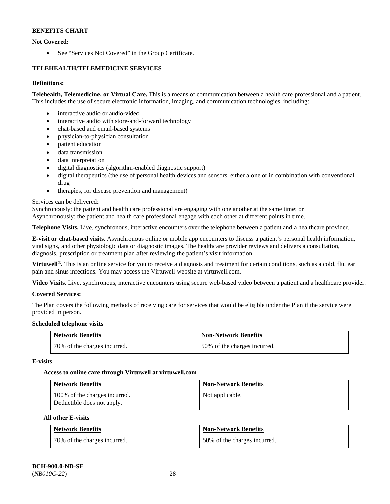# **Not Covered:**

• See "Services Not Covered" in the Group Certificate.

# **TELEHEALTH/TELEMEDICINE SERVICES**

### **Definitions:**

**Telehealth, Telemedicine, or Virtual Care.** This is a means of communication between a health care professional and a patient. This includes the use of secure electronic information, imaging, and communication technologies, including:

- interactive audio or audio-video
- interactive audio with store-and-forward technology
- chat-based and email-based systems
- physician-to-physician consultation
- patient education
- data transmission
- data interpretation
- digital diagnostics (algorithm-enabled diagnostic support)
- digital therapeutics (the use of personal health devices and sensors, either alone or in combination with conventional drug
- therapies, for disease prevention and management)

### Services can be delivered:

Synchronously: the patient and health care professional are engaging with one another at the same time; or

Asynchronously: the patient and health care professional engage with each other at different points in time.

**Telephone Visits.** Live, synchronous, interactive encounters over the telephone between a patient and a healthcare provider.

**E-visit or chat-based visits.** Asynchronous online or mobile app encounters to discuss a patient's personal health information, vital signs, and other physiologic data or diagnostic images. The healthcare provider reviews and delivers a consultation, diagnosis, prescription or treatment plan after reviewing the patient's visit information.

**Virtuwell<sup>®</sup>.** This is an online service for you to receive a diagnosis and treatment for certain conditions, such as a cold, flu, ear pain and sinus infections. You may access the Virtuwell website at [virtuwell.com.](https://www.virtuwell.com/)

**Video Visits.** Live, synchronous, interactive encounters using secure web-based video between a patient and a healthcare provider.

### **Covered Services:**

The Plan covers the following methods of receiving care for services that would be eligible under the Plan if the service were provided in person.

### **Scheduled telephone visits**

| <b>Network Benefits</b>      | <b>Non-Network Benefits</b>  |
|------------------------------|------------------------------|
| 70% of the charges incurred. | 50% of the charges incurred. |

### **E-visits**

### **Access to online care through Virtuwell at [virtuwell.com](https://www.virtuwell.com/)**

| <b>Network Benefits</b>                                     | <b>Non-Network Benefits</b> |
|-------------------------------------------------------------|-----------------------------|
| 100% of the charges incurred.<br>Deductible does not apply. | Not applicable.             |

### **All other E-visits**

| <b>Network Benefits</b>      | <b>Non-Network Benefits</b>  |
|------------------------------|------------------------------|
| 70% of the charges incurred. | 50% of the charges incurred. |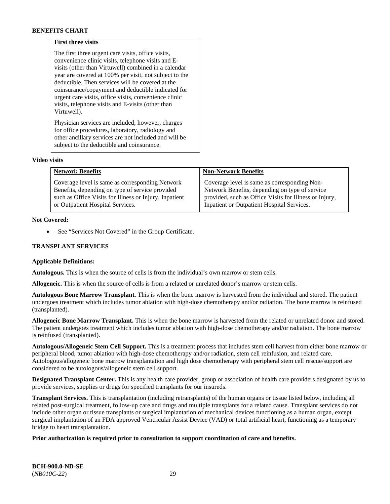### **First three visits**

The first three urgent care visits, office visits, convenience clinic visits, telephone visits and Evisits (other than Virtuwell) combined in a calendar year are covered at 100% per visit, not subject to the deductible. Then services will be covered at the coinsurance/copayment and deductible indicated for urgent care visits, office visits, convenience clinic visits, telephone visits and E-visits (other than Virtuwell).

Physician services are included; however, charges for office procedures, laboratory, radiology and other ancillary services are not included and will be subject to the deductible and coinsurance.

#### **Video visits**

| <b>Network Benefits</b>                                | <b>Non-Network Benefits</b>                            |
|--------------------------------------------------------|--------------------------------------------------------|
| Coverage level is same as corresponding Network        | Coverage level is same as corresponding Non-           |
| Benefits, depending on type of service provided        | Network Benefits, depending on type of service         |
| such as Office Visits for Illness or Injury, Inpatient | provided, such as Office Visits for Illness or Injury, |
| or Outpatient Hospital Services.                       | Inpatient or Outpatient Hospital Services.             |

#### **Not Covered:**

See "Services Not Covered" in the Group Certificate.

### **TRANSPLANT SERVICES**

#### **Applicable Definitions:**

**Autologous.** This is when the source of cells is from the individual's own marrow or stem cells.

**Allogeneic.** This is when the source of cells is from a related or unrelated donor's marrow or stem cells.

**Autologous Bone Marrow Transplant.** This is when the bone marrow is harvested from the individual and stored. The patient undergoes treatment which includes tumor ablation with high-dose chemotherapy and/or radiation. The bone marrow is reinfused (transplanted).

**Allogeneic Bone Marrow Transplant.** This is when the bone marrow is harvested from the related or unrelated donor and stored. The patient undergoes treatment which includes tumor ablation with high-dose chemotherapy and/or radiation. The bone marrow is reinfused (transplanted).

**Autologous/Allogeneic Stem Cell Support.** This is a treatment process that includes stem cell harvest from either bone marrow or peripheral blood, tumor ablation with high-dose chemotherapy and/or radiation, stem cell reinfusion, and related care. Autologous/allogeneic bone marrow transplantation and high dose chemotherapy with peripheral stem cell rescue/support are considered to be autologous/allogeneic stem cell support.

**Designated Transplant Center.** This is any health care provider, group or association of health care providers designated by us to provide services, supplies or drugs for specified transplants for our insureds.

**Transplant Services.** This is transplantation (including retransplants) of the human organs or tissue listed below, including all related post-surgical treatment, follow-up care and drugs and multiple transplants for a related cause. Transplant services do not include other organ or tissue transplants or surgical implantation of mechanical devices functioning as a human organ, except surgical implantation of an FDA approved Ventricular Assist Device (VAD) or total artificial heart, functioning as a temporary bridge to heart transplantation.

### **Prior authorization is required prior to consultation to support coordination of care and benefits.**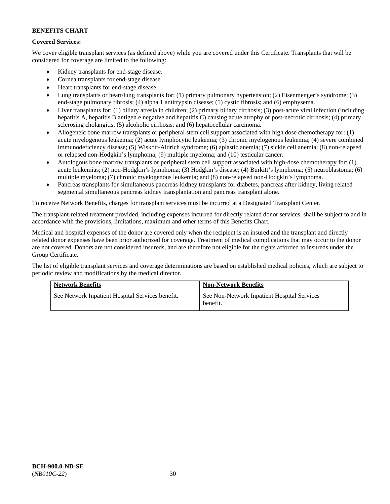# **Covered Services:**

We cover eligible transplant services (as defined above) while you are covered under this Certificate. Transplants that will be considered for coverage are limited to the following:

- Kidney transplants for end-stage disease.
- Cornea transplants for end-stage disease.
- Heart transplants for end-stage disease.
- Lung transplants or heart/lung transplants for: (1) primary pulmonary hypertension; (2) Eisenmenger's syndrome; (3) end-stage pulmonary fibrosis; (4) alpha 1 antitrypsin disease; (5) cystic fibrosis; and (6) emphysema.
- Liver transplants for: (1) biliary atresia in children; (2) primary biliary cirrhosis; (3) post-acute viral infection (including hepatitis A, hepatitis B antigen e negative and hepatitis C) causing acute atrophy or post-necrotic cirrhosis; (4) primary sclerosing cholangitis; (5) alcoholic cirrhosis; and (6) hepatocellular carcinoma.
- Allogeneic bone marrow transplants or peripheral stem cell support associated with high dose chemotherapy for: (1) acute myelogenous leukemia; (2) acute lymphocytic leukemia; (3) chronic myelogenous leukemia; (4) severe combined immunodeficiency disease; (5) Wiskott-Aldrich syndrome; (6) aplastic anemia; (7) sickle cell anemia; (8) non-relapsed or relapsed non-Hodgkin's lymphoma; (9) multiple myeloma; and (10) testicular cancer.
- Autologous bone marrow transplants or peripheral stem cell support associated with high-dose chemotherapy for: (1) acute leukemias; (2) non-Hodgkin's lymphoma; (3) Hodgkin's disease; (4) Burkitt's lymphoma; (5) neuroblastoma; (6) multiple myeloma; (7) chronic myelogenous leukemia; and (8) non-relapsed non-Hodgkin's lymphoma.
- Pancreas transplants for simultaneous pancreas-kidney transplants for diabetes, pancreas after kidney, living related segmental simultaneous pancreas kidney transplantation and pancreas transplant alone.

To receive Network Benefits, charges for transplant services must be incurred at a Designated Transplant Center.

The transplant-related treatment provided, including expenses incurred for directly related donor services, shall be subject to and in accordance with the provisions, limitations, maximum and other terms of this Benefits Chart.

Medical and hospital expenses of the donor are covered only when the recipient is an insured and the transplant and directly related donor expenses have been prior authorized for coverage. Treatment of medical complications that may occur to the donor are not covered. Donors are not considered insureds, and are therefore not eligible for the rights afforded to insureds under the Group Certificate.

The list of eligible transplant services and coverage determinations are based on established medical policies, which are subject to periodic review and modifications by the medical director.

| <b>Network Benefits</b>                          | <b>Non-Network Benefits</b>                             |
|--------------------------------------------------|---------------------------------------------------------|
| See Network Inpatient Hospital Services benefit. | See Non-Network Inpatient Hospital Services<br>benefit. |